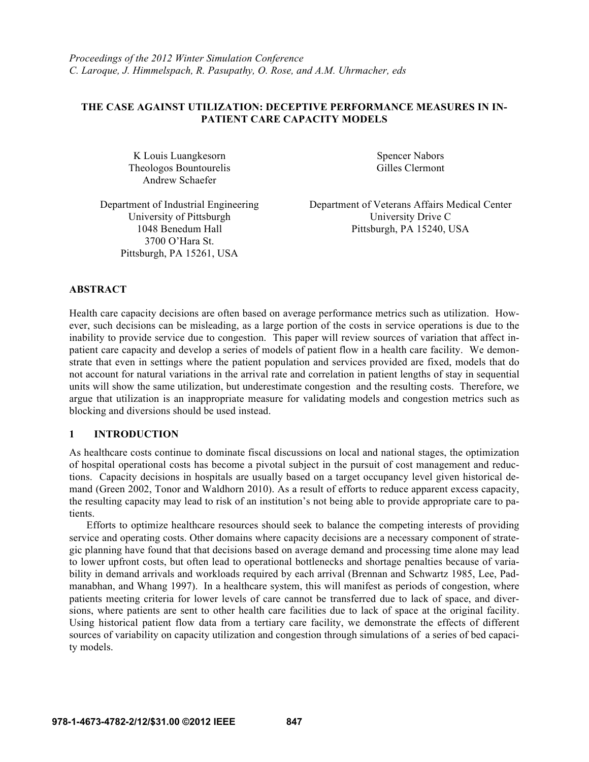## **THE CASE AGAINST UTILIZATION: DECEPTIVE PERFORMANCE MEASURES IN IN-PATIENT CARE CAPACITY MODELS**

K Louis Luangkesorn Theologos Bountourelis Andrew Schaefer

Spencer Nabors Gilles Clermont

3700 O'Hara St. Pittsburgh, PA 15261, USA

Department of Industrial Engineering Department of Veterans Affairs Medical Center University of Pittsburgh University Drive C 1048 Benedum Hall Pittsburgh, PA 15240, USA

## **ABSTRACT**

Health care capacity decisions are often based on average performance metrics such as utilization. However, such decisions can be misleading, as a large portion of the costs in service operations is due to the inability to provide service due to congestion. This paper will review sources of variation that affect inpatient care capacity and develop a series of models of patient flow in a health care facility. We demonstrate that even in settings where the patient population and services provided are fixed, models that do not account for natural variations in the arrival rate and correlation in patient lengths of stay in sequential units will show the same utilization, but underestimate congestion and the resulting costs. Therefore, we argue that utilization is an inappropriate measure for validating models and congestion metrics such as blocking and diversions should be used instead.

## **1 INTRODUCTION**

As healthcare costs continue to dominate fiscal discussions on local and national stages, the optimization of hospital operational costs has become a pivotal subject in the pursuit of cost management and reductions. Capacity decisions in hospitals are usually based on a target occupancy level given historical demand (Green 2002, Tonor and Waldhorn 2010). As a result of efforts to reduce apparent excess capacity, the resulting capacity may lead to risk of an institution's not being able to provide appropriate care to patients.

Efforts to optimize healthcare resources should seek to balance the competing interests of providing service and operating costs. Other domains where capacity decisions are a necessary component of strategic planning have found that that decisions based on average demand and processing time alone may lead to lower upfront costs, but often lead to operational bottlenecks and shortage penalties because of variability in demand arrivals and workloads required by each arrival (Brennan and Schwartz 1985, Lee, Padmanabhan, and Whang 1997). In a healthcare system, this will manifest as periods of congestion, where patients meeting criteria for lower levels of care cannot be transferred due to lack of space, and diversions, where patients are sent to other health care facilities due to lack of space at the original facility. Using historical patient flow data from a tertiary care facility, we demonstrate the effects of different sources of variability on capacity utilization and congestion through simulations of a series of bed capacity models.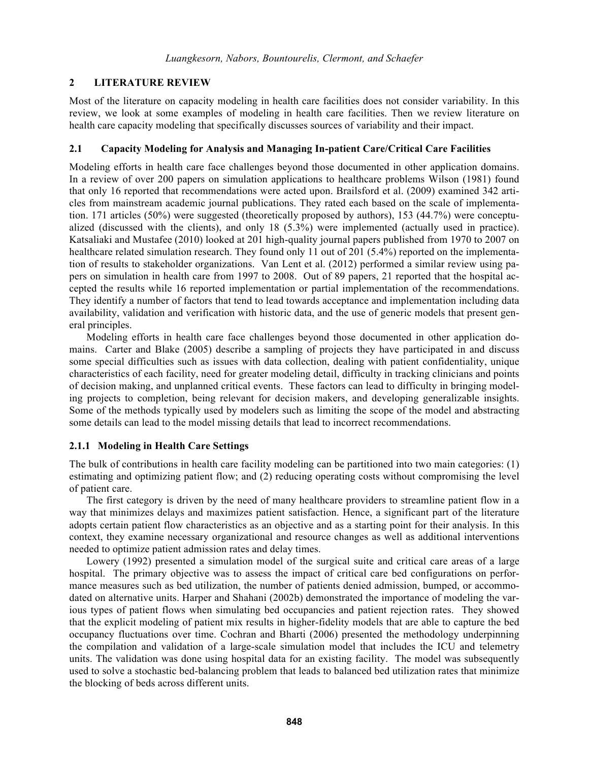# **2 LITERATURE REVIEW**

Most of the literature on capacity modeling in health care facilities does not consider variability. In this review, we look at some examples of modeling in health care facilities. Then we review literature on health care capacity modeling that specifically discusses sources of variability and their impact.

# **2.1 Capacity Modeling for Analysis and Managing In-patient Care/Critical Care Facilities**

Modeling efforts in health care face challenges beyond those documented in other application domains. In a review of over 200 papers on simulation applications to healthcare problems Wilson (1981) found that only 16 reported that recommendations were acted upon. Brailsford et al. (2009) examined 342 articles from mainstream academic journal publications. They rated each based on the scale of implementation. 171 articles (50%) were suggested (theoretically proposed by authors), 153 (44.7%) were conceptualized (discussed with the clients), and only 18 (5.3%) were implemented (actually used in practice). Katsaliaki and Mustafee (2010) looked at 201 high-quality journal papers published from 1970 to 2007 on healthcare related simulation research. They found only 11 out of 201 (5.4%) reported on the implementation of results to stakeholder organizations. Van Lent et al. (2012) performed a similar review using papers on simulation in health care from 1997 to 2008. Out of 89 papers, 21 reported that the hospital accepted the results while 16 reported implementation or partial implementation of the recommendations. They identify a number of factors that tend to lead towards acceptance and implementation including data availability, validation and verification with historic data, and the use of generic models that present general principles.

 Modeling efforts in health care face challenges beyond those documented in other application domains. Carter and Blake (2005) describe a sampling of projects they have participated in and discuss some special difficulties such as issues with data collection, dealing with patient confidentiality, unique characteristics of each facility, need for greater modeling detail, difficulty in tracking clinicians and points of decision making, and unplanned critical events. These factors can lead to difficulty in bringing modeling projects to completion, being relevant for decision makers, and developing generalizable insights. Some of the methods typically used by modelers such as limiting the scope of the model and abstracting some details can lead to the model missing details that lead to incorrect recommendations.

# **2.1.1 Modeling in Health Care Settings**

The bulk of contributions in health care facility modeling can be partitioned into two main categories: (1) estimating and optimizing patient flow; and (2) reducing operating costs without compromising the level of patient care.

 The first category is driven by the need of many healthcare providers to streamline patient flow in a way that minimizes delays and maximizes patient satisfaction. Hence, a significant part of the literature adopts certain patient flow characteristics as an objective and as a starting point for their analysis. In this context, they examine necessary organizational and resource changes as well as additional interventions needed to optimize patient admission rates and delay times.

Lowery (1992) presented a simulation model of the surgical suite and critical care areas of a large hospital. The primary objective was to assess the impact of critical care bed configurations on performance measures such as bed utilization, the number of patients denied admission, bumped, or accommodated on alternative units. Harper and Shahani (2002b) demonstrated the importance of modeling the various types of patient flows when simulating bed occupancies and patient rejection rates. They showed that the explicit modeling of patient mix results in higher-fidelity models that are able to capture the bed occupancy fluctuations over time. Cochran and Bharti (2006) presented the methodology underpinning the compilation and validation of a large-scale simulation model that includes the ICU and telemetry units. The validation was done using hospital data for an existing facility. The model was subsequently used to solve a stochastic bed-balancing problem that leads to balanced bed utilization rates that minimize the blocking of beds across different units.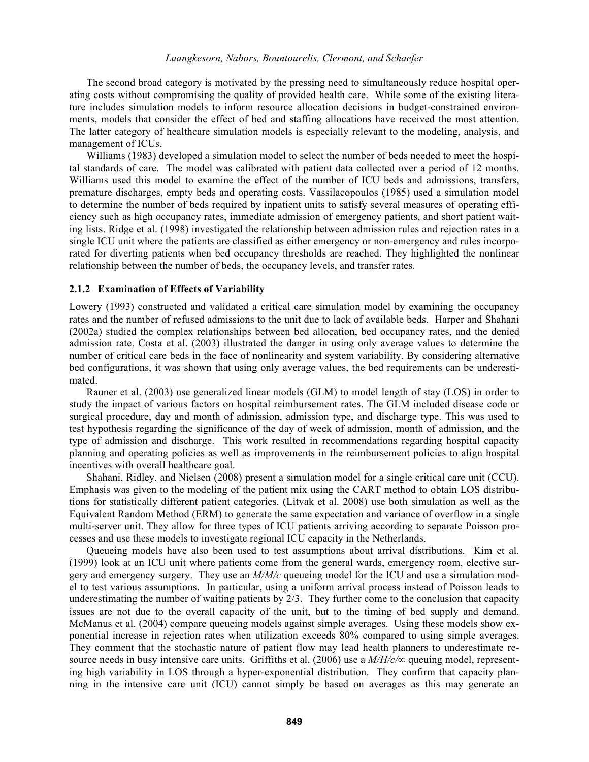#### *Luangkesorn, Nabors, Bountourelis, Clermont, and Schaefer*

The second broad category is motivated by the pressing need to simultaneously reduce hospital operating costs without compromising the quality of provided health care. While some of the existing literature includes simulation models to inform resource allocation decisions in budget-constrained environments, models that consider the effect of bed and staffing allocations have received the most attention. The latter category of healthcare simulation models is especially relevant to the modeling, analysis, and management of ICUs.

Williams (1983) developed a simulation model to select the number of beds needed to meet the hospital standards of care. The model was calibrated with patient data collected over a period of 12 months. Williams used this model to examine the effect of the number of ICU beds and admissions, transfers, premature discharges, empty beds and operating costs. Vassilacopoulos (1985) used a simulation model to determine the number of beds required by inpatient units to satisfy several measures of operating efficiency such as high occupancy rates, immediate admission of emergency patients, and short patient waiting lists. Ridge et al. (1998) investigated the relationship between admission rules and rejection rates in a single ICU unit where the patients are classified as either emergency or non-emergency and rules incorporated for diverting patients when bed occupancy thresholds are reached. They highlighted the nonlinear relationship between the number of beds, the occupancy levels, and transfer rates.

#### **2.1.2 Examination of Effects of Variability**

Lowery (1993) constructed and validated a critical care simulation model by examining the occupancy rates and the number of refused admissions to the unit due to lack of available beds. Harper and Shahani (2002a) studied the complex relationships between bed allocation, bed occupancy rates, and the denied admission rate. Costa et al. (2003) illustrated the danger in using only average values to determine the number of critical care beds in the face of nonlinearity and system variability. By considering alternative bed configurations, it was shown that using only average values, the bed requirements can be underestimated.

 Rauner et al. (2003) use generalized linear models (GLM) to model length of stay (LOS) in order to study the impact of various factors on hospital reimbursement rates. The GLM included disease code or surgical procedure, day and month of admission, admission type, and discharge type. This was used to test hypothesis regarding the significance of the day of week of admission, month of admission, and the type of admission and discharge. This work resulted in recommendations regarding hospital capacity planning and operating policies as well as improvements in the reimbursement policies to align hospital incentives with overall healthcare goal.

 Shahani, Ridley, and Nielsen (2008) present a simulation model for a single critical care unit (CCU). Emphasis was given to the modeling of the patient mix using the CART method to obtain LOS distributions for statistically different patient categories. (Litvak et al. 2008) use both simulation as well as the Equivalent Random Method (ERM) to generate the same expectation and variance of overflow in a single multi-server unit. They allow for three types of ICU patients arriving according to separate Poisson processes and use these models to investigate regional ICU capacity in the Netherlands.

Queueing models have also been used to test assumptions about arrival distributions. Kim et al. (1999) look at an ICU unit where patients come from the general wards, emergency room, elective surgery and emergency surgery. They use an *M/M/c* queueing model for the ICU and use a simulation model to test various assumptions. In particular, using a uniform arrival process instead of Poisson leads to underestimating the number of waiting patients by 2/3. They further come to the conclusion that capacity issues are not due to the overall capacity of the unit, but to the timing of bed supply and demand. McManus et al. (2004) compare queueing models against simple averages. Using these models show exponential increase in rejection rates when utilization exceeds 80% compared to using simple averages. They comment that the stochastic nature of patient flow may lead health planners to underestimate resource needs in busy intensive care units. Griffiths et al. (2006) use a *M/H/c/∞* queuing model, representing high variability in LOS through a hyper-exponential distribution. They confirm that capacity planning in the intensive care unit (ICU) cannot simply be based on averages as this may generate an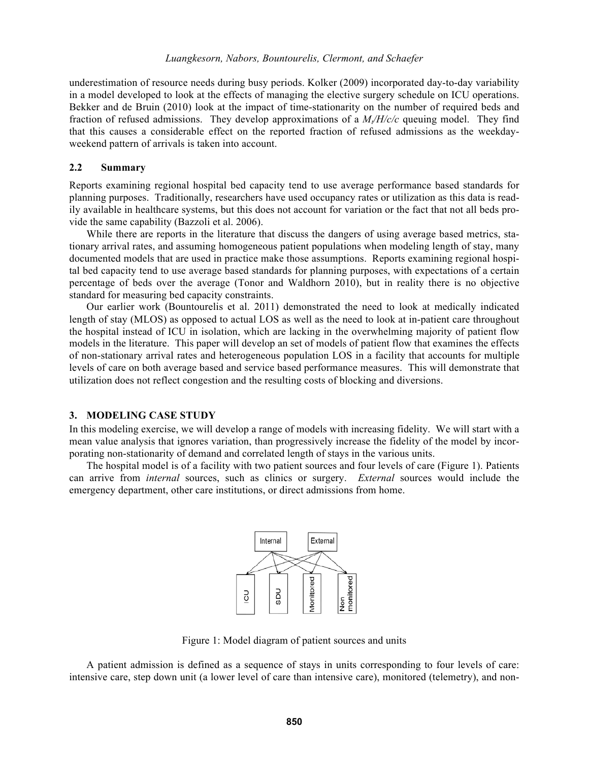underestimation of resource needs during busy periods. Kolker (2009) incorporated day-to-day variability in a model developed to look at the effects of managing the elective surgery schedule on ICU operations. Bekker and de Bruin (2010) look at the impact of time-stationarity on the number of required beds and fraction of refused admissions. They develop approximations of a  $M/H/c/c$  queuing model. They find that this causes a considerable effect on the reported fraction of refused admissions as the weekdayweekend pattern of arrivals is taken into account.

### **2.2 Summary**

Reports examining regional hospital bed capacity tend to use average performance based standards for planning purposes. Traditionally, researchers have used occupancy rates or utilization as this data is readily available in healthcare systems, but this does not account for variation or the fact that not all beds provide the same capability (Bazzoli et al. 2006).

 While there are reports in the literature that discuss the dangers of using average based metrics, stationary arrival rates, and assuming homogeneous patient populations when modeling length of stay, many documented models that are used in practice make those assumptions. Reports examining regional hospital bed capacity tend to use average based standards for planning purposes, with expectations of a certain percentage of beds over the average (Tonor and Waldhorn 2010), but in reality there is no objective standard for measuring bed capacity constraints.

 Our earlier work (Bountourelis et al. 2011) demonstrated the need to look at medically indicated length of stay (MLOS) as opposed to actual LOS as well as the need to look at in-patient care throughout the hospital instead of ICU in isolation, which are lacking in the overwhelming majority of patient flow models in the literature. This paper will develop an set of models of patient flow that examines the effects of non-stationary arrival rates and heterogeneous population LOS in a facility that accounts for multiple levels of care on both average based and service based performance measures. This will demonstrate that utilization does not reflect congestion and the resulting costs of blocking and diversions.

## **3. MODELING CASE STUDY**

In this modeling exercise, we will develop a range of models with increasing fidelity. We will start with a mean value analysis that ignores variation, than progressively increase the fidelity of the model by incorporating non-stationarity of demand and correlated length of stays in the various units.

The hospital model is of a facility with two patient sources and four levels of care (Figure 1). Patients can arrive from *internal* sources, such as clinics or surgery. *External* sources would include the emergency department, other care institutions, or direct admissions from home.



Figure 1: Model diagram of patient sources and units

A patient admission is defined as a sequence of stays in units corresponding to four levels of care: intensive care, step down unit (a lower level of care than intensive care), monitored (telemetry), and non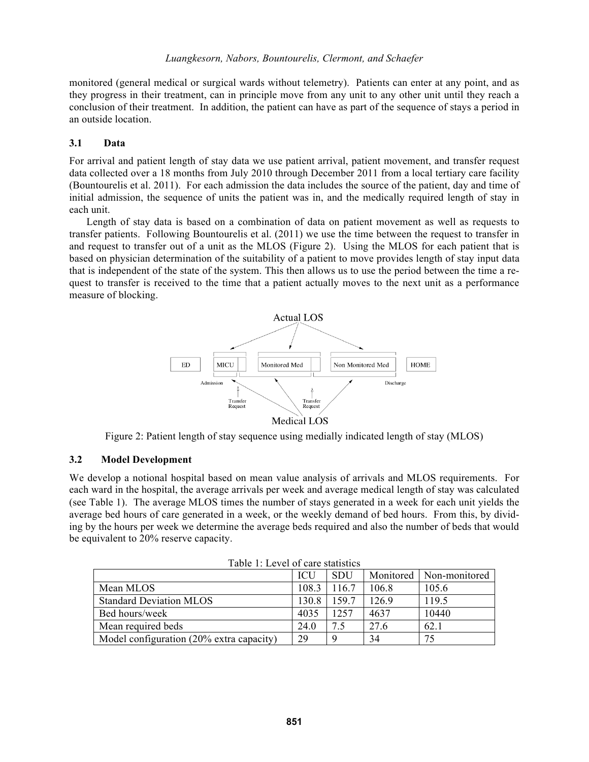monitored (general medical or surgical wards without telemetry). Patients can enter at any point, and as they progress in their treatment, can in principle move from any unit to any other unit until they reach a conclusion of their treatment. In addition, the patient can have as part of the sequence of stays a period in an outside location.

# **3.1 Data**

For arrival and patient length of stay data we use patient arrival, patient movement, and transfer request data collected over a 18 months from July 2010 through December 2011 from a local tertiary care facility (Bountourelis et al. 2011). For each admission the data includes the source of the patient, day and time of initial admission, the sequence of units the patient was in, and the medically required length of stay in each unit.

 Length of stay data is based on a combination of data on patient movement as well as requests to transfer patients. Following Bountourelis et al. (2011) we use the time between the request to transfer in and request to transfer out of a unit as the MLOS (Figure 2). Using the MLOS for each patient that is based on physician determination of the suitability of a patient to move provides length of stay input data that is independent of the state of the system. This then allows us to use the period between the time a request to transfer is received to the time that a patient actually moves to the next unit as a performance measure of blocking.



**Medical LOS** 

Figure 2: Patient length of stay sequence using medially indicated length of stay (MLOS)

## **3.2 Model Development**

We develop a notional hospital based on mean value analysis of arrivals and MLOS requirements. For each ward in the hospital, the average arrivals per week and average medical length of stay was calculated (see Table 1). The average MLOS times the number of stays generated in a week for each unit yields the average bed hours of care generated in a week, or the weekly demand of bed hours. From this, by dividing by the hours per week we determine the average beds required and also the number of beds that would be equivalent to 20% reserve capacity.

| Table 1. Level of earl statisties        |       |            |           |               |  |
|------------------------------------------|-------|------------|-----------|---------------|--|
|                                          | ICU   | <b>SDU</b> | Monitored | Non-monitored |  |
| Mean MLOS                                | 108.3 | 116.7      | 106.8     | 105.6         |  |
| <b>Standard Deviation MLOS</b>           | 130.8 | 1597       | 126.9     | 119.5         |  |
| Bed hours/week                           | 4035  | 1257       | 4637      | 10440         |  |
| Mean required beds                       | 24.0  | 7.5        | 27.6      | 62.1          |  |
| Model configuration (20% extra capacity) | 29    |            | 34        | 75            |  |

Table  $1: I$  evel of care statistics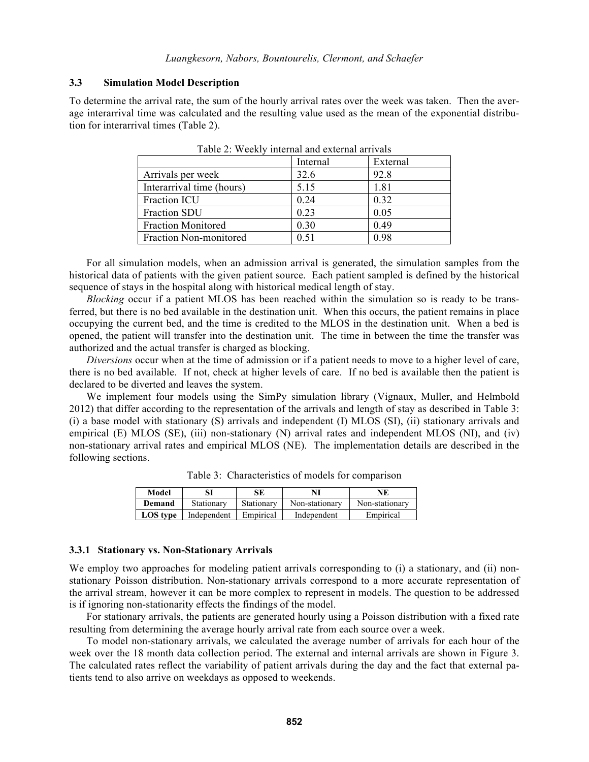#### **3.3 Simulation Model Description**

To determine the arrival rate, the sum of the hourly arrival rates over the week was taken. Then the average interarrival time was calculated and the resulting value used as the mean of the exponential distribution for interarrival times (Table 2).

| Internal | External |
|----------|----------|
| 32.6     | 92.8     |
| 5.15     | 1.81     |
| 0.24     | 0.32     |
| 0.23     | 0.05     |
| 0.30     | 0.49     |
| 0.51     | 0.98     |
|          |          |

Table 2: Weekly internal and external arrivals

For all simulation models, when an admission arrival is generated, the simulation samples from the historical data of patients with the given patient source. Each patient sampled is defined by the historical sequence of stays in the hospital along with historical medical length of stay.

*Blocking* occur if a patient MLOS has been reached within the simulation so is ready to be transferred, but there is no bed available in the destination unit. When this occurs, the patient remains in place occupying the current bed, and the time is credited to the MLOS in the destination unit. When a bed is opened, the patient will transfer into the destination unit. The time in between the time the transfer was authorized and the actual transfer is charged as blocking.

*Diversions* occur when at the time of admission or if a patient needs to move to a higher level of care, there is no bed available. If not, check at higher levels of care. If no bed is available then the patient is declared to be diverted and leaves the system.

 We implement four models using the SimPy simulation library (Vignaux, Muller, and Helmbold 2012) that differ according to the representation of the arrivals and length of stay as described in Table 3: (i) a base model with stationary (S) arrivals and independent (I) MLOS (SI), (ii) stationary arrivals and empirical (E) MLOS (SE), (iii) non-stationary (N) arrival rates and independent MLOS (NI), and (iv) non-stationary arrival rates and empirical MLOS (NE). The implementation details are described in the following sections.

| Model    |             | SE         |                | NE             |
|----------|-------------|------------|----------------|----------------|
| Demand   | Stationary  | Stationary | Non-stationary | Non-stationary |
| LOS type | Independent | Empirical  | Independent    | Empirical      |

Table 3: Characteristics of models for comparison

### **3.3.1 Stationary vs. Non-Stationary Arrivals**

We employ two approaches for modeling patient arrivals corresponding to (i) a stationary, and (ii) nonstationary Poisson distribution. Non-stationary arrivals correspond to a more accurate representation of the arrival stream, however it can be more complex to represent in models. The question to be addressed is if ignoring non-stationarity effects the findings of the model.

 For stationary arrivals, the patients are generated hourly using a Poisson distribution with a fixed rate resulting from determining the average hourly arrival rate from each source over a week.

 To model non-stationary arrivals, we calculated the average number of arrivals for each hour of the week over the 18 month data collection period. The external and internal arrivals are shown in Figure 3. The calculated rates reflect the variability of patient arrivals during the day and the fact that external patients tend to also arrive on weekdays as opposed to weekends.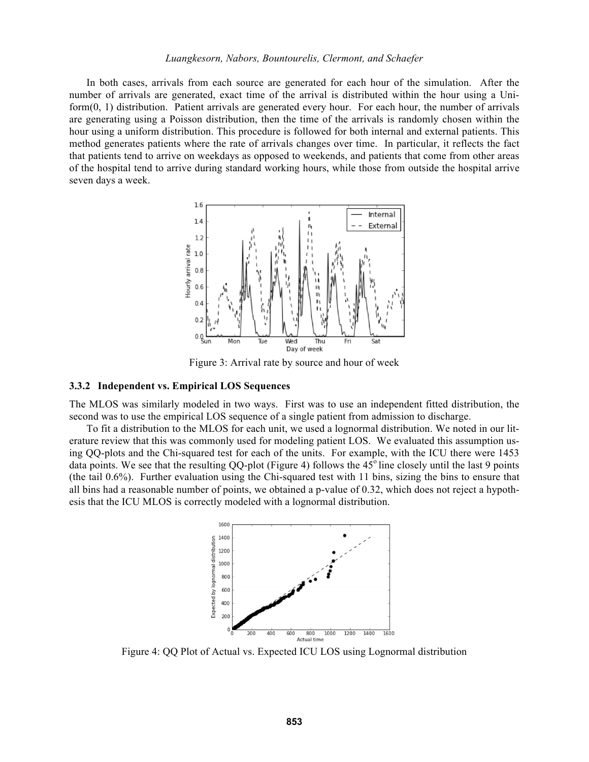#### *Luangkesorn, Nabors, Bountourelis, Clermont, and Schaefer*

 In both cases, arrivals from each source are generated for each hour of the simulation. After the number of arrivals are generated, exact time of the arrival is distributed within the hour using a Uniform(0, 1) distribution. Patient arrivals are generated every hour. For each hour, the number of arrivals are generating using a Poisson distribution, then the time of the arrivals is randomly chosen within the hour using a uniform distribution. This procedure is followed for both internal and external patients. This method generates patients where the rate of arrivals changes over time. In particular, it reflects the fact that patients tend to arrive on weekdays as opposed to weekends, and patients that come from other areas of the hospital tend to arrive during standard working hours, while those from outside the hospital arrive seven days a week.



Figure 3: Arrival rate by source and hour of week

### **3.3.2 Independent vs. Empirical LOS Sequences**

The MLOS was similarly modeled in two ways. First was to use an independent fitted distribution, the second was to use the empirical LOS sequence of a single patient from admission to discharge.

 To fit a distribution to the MLOS for each unit, we used a lognormal distribution. We noted in our literature review that this was commonly used for modeling patient LOS. We evaluated this assumption using QQ-plots and the Chi-squared test for each of the units. For example, with the ICU there were 1453 data points. We see that the resulting QQ-plot (Figure 4) follows the  $45^{\circ}$  line closely until the last 9 points (the tail 0.6%). Further evaluation using the Chi-squared test with 11 bins, sizing the bins to ensure that all bins had a reasonable number of points, we obtained a p-value of 0.32, which does not reject a hypothesis that the ICU MLOS is correctly modeled with a lognormal distribution.



Figure 4: QQ Plot of Actual vs. Expected ICU LOS using Lognormal distribution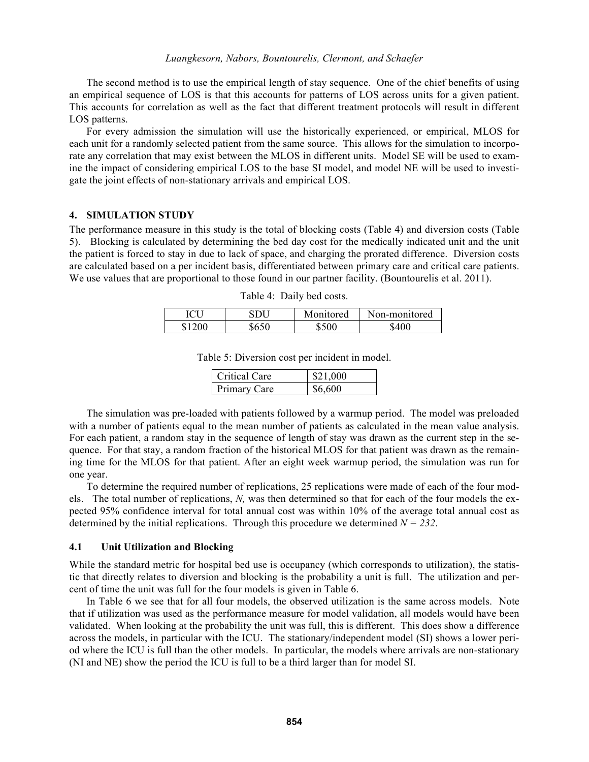The second method is to use the empirical length of stay sequence. One of the chief benefits of using an empirical sequence of LOS is that this accounts for patterns of LOS across units for a given patient. This accounts for correlation as well as the fact that different treatment protocols will result in different LOS patterns.

 For every admission the simulation will use the historically experienced, or empirical, MLOS for each unit for a randomly selected patient from the same source. This allows for the simulation to incorporate any correlation that may exist between the MLOS in different units. Model SE will be used to examine the impact of considering empirical LOS to the base SI model, and model NE will be used to investigate the joint effects of non-stationary arrivals and empirical LOS.

### **4. SIMULATION STUDY**

The performance measure in this study is the total of blocking costs (Table 4) and diversion costs (Table 5). Blocking is calculated by determining the bed day cost for the medically indicated unit and the unit the patient is forced to stay in due to lack of space, and charging the prorated difference. Diversion costs are calculated based on a per incident basis, differentiated between primary care and critical care patients. We use values that are proportional to those found in our partner facility. (Bountourelis et al. 2011).

Table 4: Daily bed costs.

|        | Monitored | Non-monitored |
|--------|-----------|---------------|
| \$1200 |           |               |

Table 5: Diversion cost per incident in model.

| <b>Critical Care</b> | \$21,000 |
|----------------------|----------|
| Primary Care         | \$6,600  |

The simulation was pre-loaded with patients followed by a warmup period. The model was preloaded with a number of patients equal to the mean number of patients as calculated in the mean value analysis. For each patient, a random stay in the sequence of length of stay was drawn as the current step in the sequence. For that stay, a random fraction of the historical MLOS for that patient was drawn as the remaining time for the MLOS for that patient. After an eight week warmup period, the simulation was run for one year.

To determine the required number of replications, 25 replications were made of each of the four models. The total number of replications, *N,* was then determined so that for each of the four models the expected 95% confidence interval for total annual cost was within 10% of the average total annual cost as determined by the initial replications. Through this procedure we determined  $N = 232$ .

#### **4.1 Unit Utilization and Blocking**

While the standard metric for hospital bed use is occupancy (which corresponds to utilization), the statistic that directly relates to diversion and blocking is the probability a unit is full. The utilization and percent of time the unit was full for the four models is given in Table 6.

In Table 6 we see that for all four models, the observed utilization is the same across models. Note that if utilization was used as the performance measure for model validation, all models would have been validated. When looking at the probability the unit was full, this is different. This does show a difference across the models, in particular with the ICU. The stationary/independent model (SI) shows a lower period where the ICU is full than the other models. In particular, the models where arrivals are non-stationary (NI and NE) show the period the ICU is full to be a third larger than for model SI.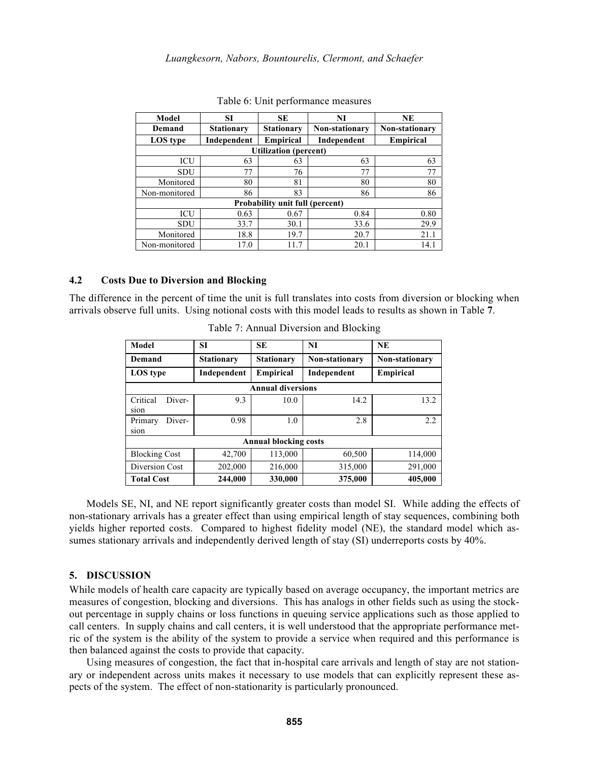| Model                                  | SI                           | SE                | NI                    | <b>NE</b>             |  |
|----------------------------------------|------------------------------|-------------------|-----------------------|-----------------------|--|
| Demand                                 | <b>Stationary</b>            | <b>Stationary</b> | <b>Non-stationary</b> | <b>Non-stationary</b> |  |
| LOS type                               | Independent                  | Empirical         | Independent           | Empirical             |  |
|                                        | <b>Utilization</b> (percent) |                   |                       |                       |  |
| ICU                                    | 63                           | 63                | 63                    | 63                    |  |
| <b>SDU</b>                             | 77                           | 76                | 77                    | 77                    |  |
| Monitored                              | 80                           | 81                | 80                    | 80                    |  |
| Non-monitored                          | 86                           | 83                | 86                    | 86                    |  |
| <b>Probability unit full (percent)</b> |                              |                   |                       |                       |  |
| ICU                                    | 0.63                         | 0.67              | 0.84                  | 0.80                  |  |
| <b>SDU</b>                             | 33.7                         | 30.1              | 33.6                  | 29.9                  |  |
| Monitored                              | 18.8                         | 19.7              | 20.7                  | 21.1                  |  |
| Non-monitored                          | 17.0                         | 11.7              | 20.1                  | 14.1                  |  |

Table 6: Unit performance measures

## **4.2 Costs Due to Diversion and Blocking**

The difference in the percent of time the unit is full translates into costs from diversion or blocking when arrivals observe full units. Using notional costs with this model leads to results as shown in Table **7**.

| Model                        | <b>SI</b>         | <b>SE</b>         | NI             | <b>NE</b>             |
|------------------------------|-------------------|-------------------|----------------|-----------------------|
| Demand                       | <b>Stationary</b> | <b>Stationary</b> | Non-stationary | <b>Non-stationary</b> |
| LOS type                     | Independent       | Empirical         | Independent    | Empirical             |
| <b>Annual diversions</b>     |                   |                   |                |                       |
| Critical<br>Diver-<br>sion   | 9.3               | 10.0              | 14.2           | 13.2                  |
| Diver-<br>Primary<br>sion    | 0.98              | 1.0               | 2.8            | 2.2                   |
| <b>Annual blocking costs</b> |                   |                   |                |                       |
| <b>Blocking Cost</b>         | 42,700            | 113,000           | 60,500         | 114,000               |
| Diversion Cost               | 202,000           | 216,000           | 315,000        | 291,000               |
| <b>Total Cost</b>            | 244,000           | 330,000           | 375,000        | 405,000               |

Table 7: Annual Diversion and Blocking

Models SE, NI, and NE report significantly greater costs than model SI. While adding the effects of non-stationary arrivals has a greater effect than using empirical length of stay sequences, combining both yields higher reported costs. Compared to highest fidelity model (NE), the standard model which assumes stationary arrivals and independently derived length of stay (SI) underreports costs by 40%.

#### **5. DISCUSSION**

While models of health care capacity are typically based on average occupancy, the important metrics are measures of congestion, blocking and diversions. This has analogs in other fields such as using the stockout percentage in supply chains or loss functions in queuing service applications such as those applied to call centers. In supply chains and call centers, it is well understood that the appropriate performance metric of the system is the ability of the system to provide a service when required and this performance is then balanced against the costs to provide that capacity.

Using measures of congestion, the fact that in-hospital care arrivals and length of stay are not stationary or independent across units makes it necessary to use models that can explicitly represent these aspects of the system. The effect of non-stationarity is particularly pronounced.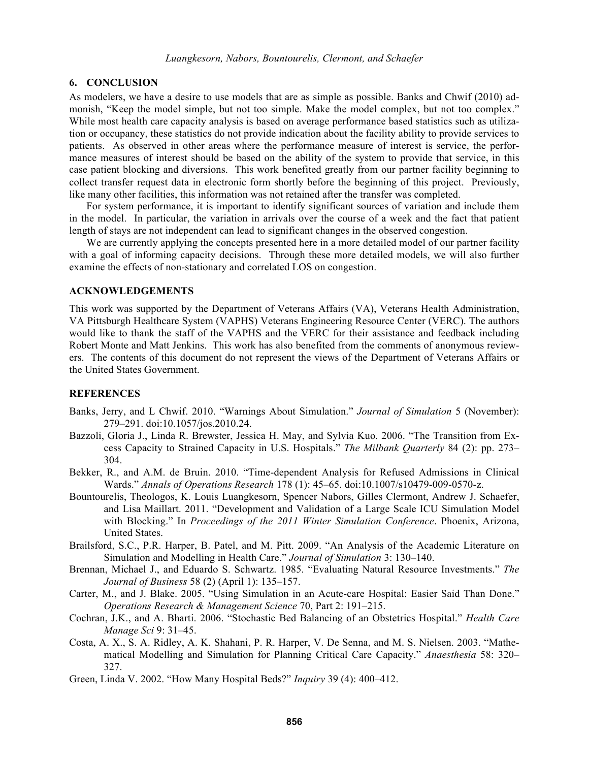### **6. CONCLUSION**

As modelers, we have a desire to use models that are as simple as possible. Banks and Chwif (2010) admonish, "Keep the model simple, but not too simple. Make the model complex, but not too complex." While most health care capacity analysis is based on average performance based statistics such as utilization or occupancy, these statistics do not provide indication about the facility ability to provide services to patients. As observed in other areas where the performance measure of interest is service, the performance measures of interest should be based on the ability of the system to provide that service, in this case patient blocking and diversions. This work benefited greatly from our partner facility beginning to collect transfer request data in electronic form shortly before the beginning of this project. Previously, like many other facilities, this information was not retained after the transfer was completed.

For system performance, it is important to identify significant sources of variation and include them in the model. In particular, the variation in arrivals over the course of a week and the fact that patient length of stays are not independent can lead to significant changes in the observed congestion.

We are currently applying the concepts presented here in a more detailed model of our partner facility with a goal of informing capacity decisions. Through these more detailed models, we will also further examine the effects of non-stationary and correlated LOS on congestion.

## **ACKNOWLEDGEMENTS**

This work was supported by the Department of Veterans Affairs (VA), Veterans Health Administration, VA Pittsburgh Healthcare System (VAPHS) Veterans Engineering Resource Center (VERC). The authors would like to thank the staff of the VAPHS and the VERC for their assistance and feedback including Robert Monte and Matt Jenkins. This work has also benefited from the comments of anonymous reviewers. The contents of this document do not represent the views of the Department of Veterans Affairs or the United States Government.

### **REFERENCES**

- Banks, Jerry, and L Chwif. 2010. "Warnings About Simulation." *Journal of Simulation* 5 (November): 279–291. doi:10.1057/jos.2010.24.
- Bazzoli, Gloria J., Linda R. Brewster, Jessica H. May, and Sylvia Kuo. 2006. "The Transition from Excess Capacity to Strained Capacity in U.S. Hospitals." *The Milbank Quarterly* 84 (2): pp. 273– 304.
- Bekker, R., and A.M. de Bruin. 2010. "Time-dependent Analysis for Refused Admissions in Clinical Wards." *Annals of Operations Research* 178 (1): 45–65. doi:10.1007/s10479-009-0570-z.
- Bountourelis, Theologos, K. Louis Luangkesorn, Spencer Nabors, Gilles Clermont, Andrew J. Schaefer, and Lisa Maillart. 2011. "Development and Validation of a Large Scale ICU Simulation Model with Blocking." In *Proceedings of the 2011 Winter Simulation Conference*. Phoenix, Arizona, United States.
- Brailsford, S.C., P.R. Harper, B. Patel, and M. Pitt. 2009. "An Analysis of the Academic Literature on Simulation and Modelling in Health Care." *Journal of Simulation* 3: 130–140.
- Brennan, Michael J., and Eduardo S. Schwartz. 1985. "Evaluating Natural Resource Investments." *The Journal of Business* 58 (2) (April 1): 135–157.
- Carter, M., and J. Blake. 2005. "Using Simulation in an Acute-care Hospital: Easier Said Than Done." *Operations Research & Management Science* 70, Part 2: 191–215.
- Cochran, J.K., and A. Bharti. 2006. "Stochastic Bed Balancing of an Obstetrics Hospital." *Health Care Manage Sci* 9: 31–45.
- Costa, A. X., S. A. Ridley, A. K. Shahani, P. R. Harper, V. De Senna, and M. S. Nielsen. 2003. "Mathematical Modelling and Simulation for Planning Critical Care Capacity." *Anaesthesia* 58: 320– 327.
- Green, Linda V. 2002. "How Many Hospital Beds?" *Inquiry* 39 (4): 400–412.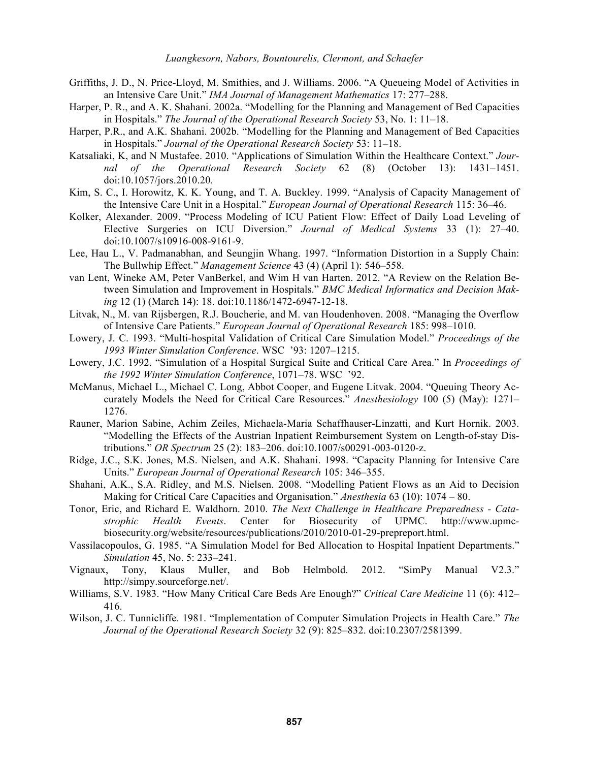- Griffiths, J. D., N. Price-Lloyd, M. Smithies, and J. Williams. 2006. "A Queueing Model of Activities in an Intensive Care Unit." *IMA Journal of Management Mathematics* 17: 277–288.
- Harper, P. R., and A. K. Shahani. 2002a. "Modelling for the Planning and Management of Bed Capacities in Hospitals." *The Journal of the Operational Research Society* 53, No. 1: 11–18.
- Harper, P.R., and A.K. Shahani. 2002b. "Modelling for the Planning and Management of Bed Capacities in Hospitals." *Journal of the Operational Research Society* 53: 11–18.
- Katsaliaki, K, and N Mustafee. 2010. "Applications of Simulation Within the Healthcare Context." *Journal of the Operational Research Society* 62 (8) (October 13): 1431–1451. doi:10.1057/jors.2010.20.
- Kim, S. C., I. Horowitz, K. K. Young, and T. A. Buckley. 1999. "Analysis of Capacity Management of the Intensive Care Unit in a Hospital." *European Journal of Operational Research* 115: 36–46.
- Kolker, Alexander. 2009. "Process Modeling of ICU Patient Flow: Effect of Daily Load Leveling of Elective Surgeries on ICU Diversion." *Journal of Medical Systems* 33 (1): 27–40. doi:10.1007/s10916-008-9161-9.
- Lee, Hau L., V. Padmanabhan, and Seungjin Whang. 1997. "Information Distortion in a Supply Chain: The Bullwhip Effect." *Management Science* 43 (4) (April 1): 546–558.
- van Lent, Wineke AM, Peter VanBerkel, and Wim H van Harten. 2012. "A Review on the Relation Between Simulation and Improvement in Hospitals." *BMC Medical Informatics and Decision Making* 12 (1) (March 14): 18. doi:10.1186/1472-6947-12-18.
- Litvak, N., M. van Rijsbergen, R.J. Boucherie, and M. van Houdenhoven. 2008. "Managing the Overflow of Intensive Care Patients." *European Journal of Operational Research* 185: 998–1010.
- Lowery, J. C. 1993. "Multi-hospital Validation of Critical Care Simulation Model." *Proceedings of the 1993 Winter Simulation Conference*. WSC '93: 1207–1215.
- Lowery, J.C. 1992. "Simulation of a Hospital Surgical Suite and Critical Care Area." In *Proceedings of the 1992 Winter Simulation Conference*, 1071–78. WSC '92.
- McManus, Michael L., Michael C. Long, Abbot Cooper, and Eugene Litvak. 2004. "Queuing Theory Accurately Models the Need for Critical Care Resources." *Anesthesiology* 100 (5) (May): 1271– 1276.
- Rauner, Marion Sabine, Achim Zeiles, Michaela-Maria Schaffhauser-Linzatti, and Kurt Hornik. 2003. "Modelling the Effects of the Austrian Inpatient Reimbursement System on Length-of-stay Distributions." *OR Spectrum* 25 (2): 183–206. doi:10.1007/s00291-003-0120-z.
- Ridge, J.C., S.K. Jones, M.S. Nielsen, and A.K. Shahani. 1998. "Capacity Planning for Intensive Care Units." *European Journal of Operational Research* 105: 346–355.
- Shahani, A.K., S.A. Ridley, and M.S. Nielsen. 2008. "Modelling Patient Flows as an Aid to Decision Making for Critical Care Capacities and Organisation." *Anesthesia* 63 (10): 1074 – 80.
- Tonor, Eric, and Richard E. Waldhorn. 2010. *The Next Challenge in Healthcare Preparedness Catastrophic Health Events*. Center for Biosecurity of UPMC. http://www.upmcbiosecurity.org/website/resources/publications/2010/2010-01-29-prepreport.html.
- Vassilacopoulos, G. 1985. "A Simulation Model for Bed Allocation to Hospital Inpatient Departments." *Simulation* 45, No. 5: 233–241.
- Vignaux, Tony, Klaus Muller, and Bob Helmbold. 2012. "SimPy Manual V2.3." http://simpy.sourceforge.net/.
- Williams, S.V. 1983. "How Many Critical Care Beds Are Enough?" *Critical Care Medicine* 11 (6): 412– 416.
- Wilson, J. C. Tunnicliffe. 1981. "Implementation of Computer Simulation Projects in Health Care." *The Journal of the Operational Research Society* 32 (9): 825–832. doi:10.2307/2581399.